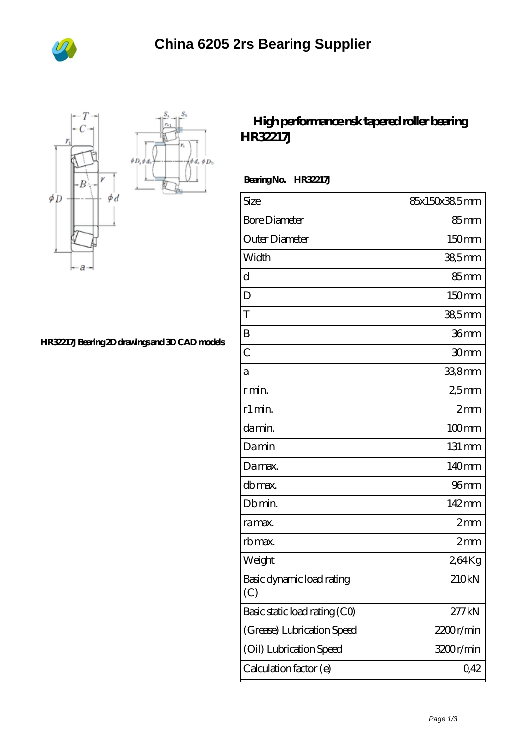



## **[HR32217J Bearing 2D drawings and 3D CAD models](https://m.bi-countytransitway.com/pic-821477.html)**

## **[High performance nsk tapered roller bearing](https://m.bi-countytransitway.com/timken-hh221410-bearing/nsk-hr32217j.html) [HR32217J](https://m.bi-countytransitway.com/timken-hh221410-bearing/nsk-hr32217j.html)**

 **Bearing No. HR32217J**

| Size                             | 85x150x385mm     |
|----------------------------------|------------------|
| <b>Bore Diameter</b>             | $85 \text{mm}$   |
| Outer Diameter                   | 150mm            |
| Width                            | 38,5mm           |
| d                                | $85 \text{mm}$   |
| D                                | 150mm            |
| T                                | $385$ mm         |
| B                                | 36mm             |
| $\overline{C}$                   | 30mm             |
| а                                | 33,8mm           |
| r min.                           | 25 <sub>mm</sub> |
| r1 min.                          | 2mm              |
| damin.                           | $100$ mm         |
| Damin                            | 131 mm           |
| Damax.                           | 140mm            |
| db max.                          | 96 <sub>mm</sub> |
| Db min.                          | 142mm            |
| ra max.                          | 2mm              |
| rb max.                          | 2mm              |
| Weight                           | 264Kg            |
| Basic dynamic load rating<br>(C) | 210kN            |
| Basic static load rating (CO)    | 277kN            |
| (Grease) Lubrication Speed       | 2200r/min        |
| (Oil) Lubrication Speed          | 3200r/min        |
| Calculation factor (e)           | 0,42             |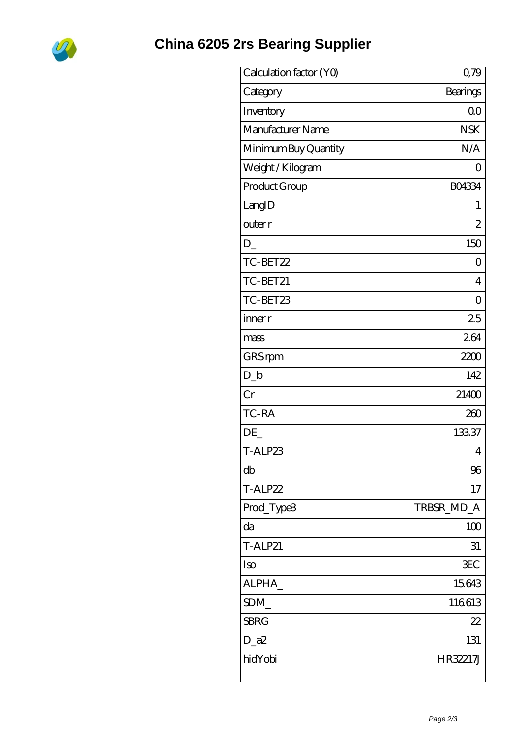

## **China 6205 2rs Bearing Supplier**

| Calculation factor (YO) | 0,79             |
|-------------------------|------------------|
| Category                | Bearings         |
| Inventory               | 0 <sub>0</sub>   |
| Manufacturer Name       | <b>NSK</b>       |
| Minimum Buy Quantity    | N/A              |
| Weight / Kilogram       | $\left( \right)$ |
| Product Group           | <b>BO4334</b>    |
| LangID                  | 1                |
| outer r                 | $\overline{c}$   |
| $D_{-}$                 | 150              |
| TC-BET22                | 0                |
| TC-BET21                | $\overline{4}$   |
| TC-BET23                | $\overline{O}$   |
| inner r                 | 25               |
| mass                    | 264              |
| GRS rpm                 | 2200             |
| $D_{-}b$                | 142              |
| Cr                      | 21400            |
| TC-RA                   | 260              |
| DE                      | 13337            |
| T-ALP23                 | 4                |
| db                      | 96               |
| T-ALP22                 | 17               |
| Prod_Type3              | TRBSR_MD_A       |
| da                      | 100              |
| <b>T-ALP21</b>          | 31               |
| Iso                     | <b>EC</b>        |
| ALPHA_                  | 15643            |
| SDM                     | 116613           |
| <b>SBRG</b>             | 22               |
| $D_a2$                  | 131              |
| hidYobi                 | HR32217J         |
|                         |                  |